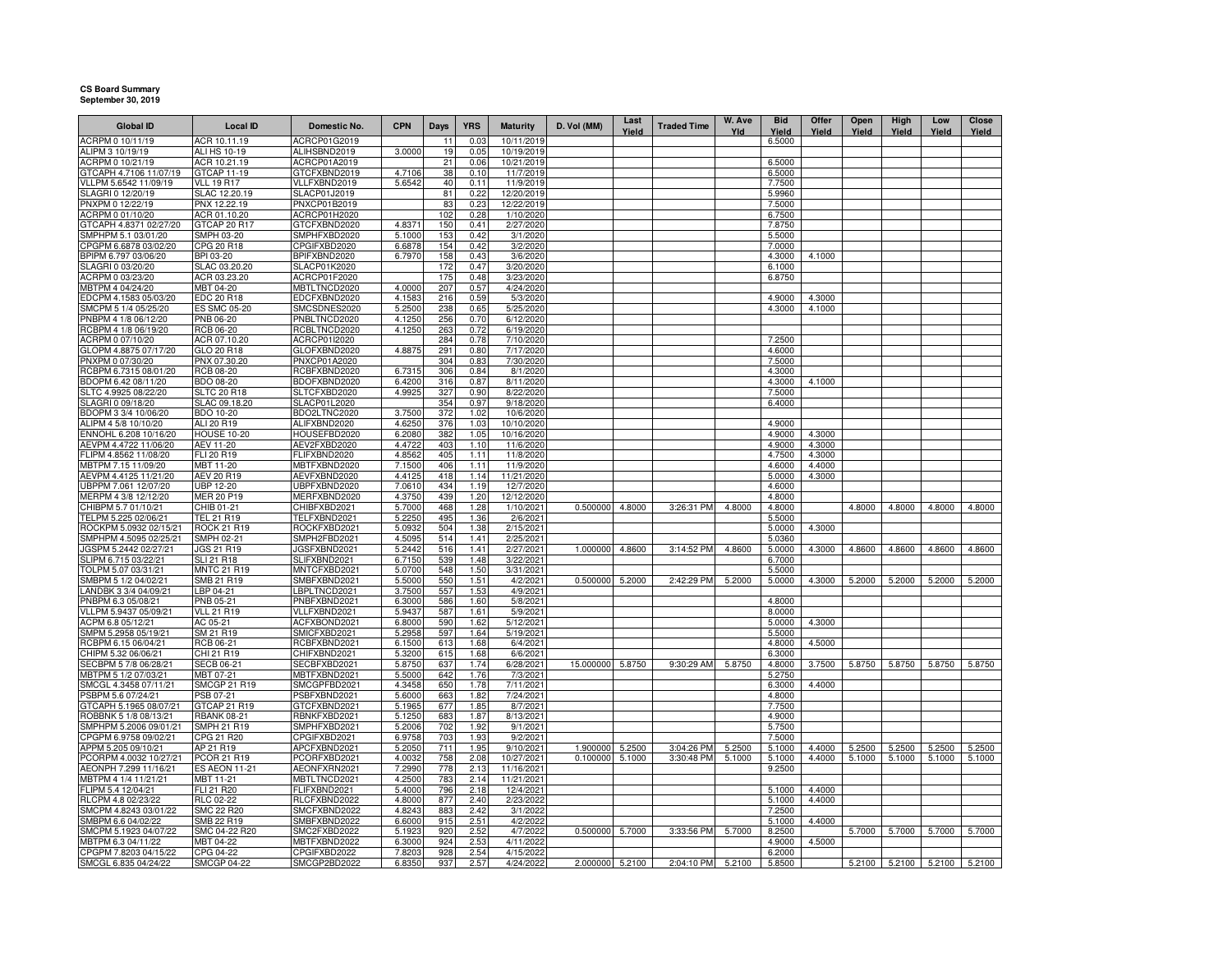## **CS Board SummarySeptember 30, 2019**

| <b>Global ID</b>                                | <b>Local ID</b>                 | Domestic No.                 | <b>CPN</b>       | Days            | <b>YRS</b>   | <b>Maturity</b>         | D. Vol (MM)      | Last<br>Yield | <b>Traded Time</b> | W. Ave<br>Yld | <b>Bid</b><br>Yield | Offer<br>Yield | Open<br>Yield | High<br>Yield                  | Low<br>Yield | Close<br>Yield |
|-------------------------------------------------|---------------------------------|------------------------------|------------------|-----------------|--------------|-------------------------|------------------|---------------|--------------------|---------------|---------------------|----------------|---------------|--------------------------------|--------------|----------------|
| ACRPM 0 10/11/19                                | ACR 10.11.19                    | ACRCP01G2019                 |                  | 11              | 0.03         | 10/11/2019              |                  |               |                    |               | 6.5000              |                |               |                                |              |                |
| ALIPM 3 10/19/19                                | ALI HS 10-19                    | ALIHSBND2019                 | 3.0000           | 19              | 0.05         | 10/19/2019              |                  |               |                    |               |                     |                |               |                                |              |                |
| ACRPM 0 10/21/19                                | ACR 10.21.19                    | ACRCP01A2019                 |                  | 21              | 0.06         | 10/21/2019              |                  |               |                    |               | 6.5000              |                |               |                                |              |                |
| GTCAPH 4.7106 11/07/19                          | GTCAP 11-19                     | GTCFXBND2019                 | 4.7106           | 38              | 0.10         | 11/7/2019               |                  |               |                    |               | 6.5000              |                |               |                                |              |                |
| VLLPM 5.6542 11/09/19                           | <b>VLL 19 R17</b>               | VLLFXBND2019                 | 5.6542           | 40              | 0.11         | 11/9/2019               |                  |               |                    |               | 7.7500              |                |               |                                |              |                |
| SLAGRI 0 12/20/19                               | SLAC 12.20.19                   | SLACP01J2019                 |                  | 81              | 0.22         | 12/20/2019              |                  |               |                    |               | 5.9960              |                |               |                                |              |                |
| PNXPM 0 12/22/19                                | PNX 12.22.19                    | PNXCP01B2019                 |                  | 83<br>102       | 0.23<br>0.28 | 12/22/2019              |                  |               |                    |               | 7.5000              |                |               |                                |              |                |
| ACRPM 0 01/10/20<br>GTCAPH 4.8371 02/27/20      | ACR 01.10.20<br>GTCAP 20 R17    | ACRCP01H2020<br>GTCFXBND2020 | 4.8371           | 150             | 0.41         | 1/10/2020<br>2/27/2020  |                  |               |                    |               | 6.7500<br>7.8750    |                |               |                                |              |                |
| SMPHPM 5.1 03/01/20                             | SMPH 03-20                      | SMPHFXBD2020                 | 5.1000           | 153             | 0.42         | 3/1/2020                |                  |               |                    |               | 5.5000              |                |               |                                |              |                |
| CPGPM 6.6878 03/02/20                           | CPG 20 R18                      | CPGIFXBD2020                 | 6.6878           | 154             | 0.42         | 3/2/2020                |                  |               |                    |               | 7.0000              |                |               |                                |              |                |
| BPIPM 6.797 03/06/20                            | BPI 03-20                       | BPIFXBND2020                 | 6.7970           | 158             | 0.43         | 3/6/2020                |                  |               |                    |               | 4.3000              | 4.1000         |               |                                |              |                |
| SLAGRI 0 03/20/20                               | SLAC 03.20.20                   | <b>SLACP01K2020</b>          |                  | 172             | 0.47         | 3/20/2020               |                  |               |                    |               | 6.1000              |                |               |                                |              |                |
| ACRPM 0 03/23/20                                | ACR 03.23.20                    | ACRCP01F2020                 |                  | 175             | 0.48         | 3/23/2020               |                  |               |                    |               | 6.8750              |                |               |                                |              |                |
| MBTPM 4 04/24/20                                | MBT 04-20                       | MBTLTNCD2020                 | 4.0000           | 207             | 0.57         | 4/24/2020               |                  |               |                    |               |                     |                |               |                                |              |                |
| EDCPM 4.1583 05/03/20                           | EDC 20 R18                      | EDCFXBND2020                 | 4.1583           | 216             | 0.59         | 5/3/2020                |                  |               |                    |               | 4.9000              | 4.3000         |               |                                |              |                |
| SMCPM 5 1/4 05/25/20                            | <b>ES SMC 05-20</b>             | SMCSDNES2020                 | 5.2500           | 238             | 0.65         | 5/25/2020               |                  |               |                    |               | 4.3000              | 4.1000         |               |                                |              |                |
| PNBPM 4 1/8 06/12/20                            | PNB 06-20                       | PNBLTNCD2020                 | 4.1250           | 256             | 0.70         | 6/12/2020               |                  |               |                    |               |                     |                |               |                                |              |                |
| RCBPM 4 1/8 06/19/20                            | RCB 06-20                       | RCBLTNCD2020                 | 4.1250           | 263             | 0.72         | 6/19/2020               |                  |               |                    |               |                     |                |               |                                |              |                |
| ACRPM 0 07/10/20<br>GLOPM 4.8875 07/17/20       | ACR 07.10.20<br>GLO 20 R18      | ACRCP01I2020<br>GLOFXBND2020 | 4.8875           | 284<br>291      | 0.78<br>0.80 | 7/10/2020<br>7/17/2020  |                  |               |                    |               | 7.2500<br>4.6000    |                |               |                                |              |                |
| PNXPM 0 07/30/20                                | PNX 07.30.20                    | PNXCP01A2020                 |                  | 304             | 0.83         | 7/30/2020               |                  |               |                    |               | 7.5000              |                |               |                                |              |                |
| RCBPM 6.7315 08/01/20                           | RCB 08-20                       | RCBFXBND2020                 | 6.7315           | 306             | 0.84         | 8/1/2020                |                  |               |                    |               | 4.3000              |                |               |                                |              |                |
| BDOPM 6.42 08/11/20                             | BDO 08-20                       | BDOFXBND2020                 | 6.4200           | 316             | 0.87         | 8/11/2020               |                  |               |                    |               | 4.3000              | 4.1000         |               |                                |              |                |
| SLTC 4.9925 08/22/20                            | <b>SLTC 20 R18</b>              | SLTCFXBD2020                 | 4.9925           | 327             | 0.90         | 8/22/2020               |                  |               |                    |               | 7.5000              |                |               |                                |              |                |
| SLAGRI 0 09/18/20                               | SLAC 09.18.20                   | SLACP01L2020                 |                  | 354             | 0.97         | 9/18/2020               |                  |               |                    |               | 6.4000              |                |               |                                |              |                |
| BDOPM 3 3/4 10/06/20                            | BDO 10-20                       | BDO2LTNC2020                 | 3.7500           | 372             | 1.02         | 10/6/2020               |                  |               |                    |               |                     |                |               |                                |              |                |
| ALIPM 4 5/8 10/10/20                            | ALI 20 R19                      | ALIFXBND2020                 | 4.6250           | 376             | 1.03         | 10/10/2020              |                  |               |                    |               | 4.9000              |                |               |                                |              |                |
| ENNOHL 6.208 10/16/20                           | <b>HOUSE 10-20</b>              | HOUSEFBD2020                 | 6.2080           | 382             | 1.05         | 10/16/2020              |                  |               |                    |               | 4.9000              | 4.3000         |               |                                |              |                |
| AEVPM 4.4722 11/06/20                           | AEV 11-20                       | AEV2FXBD2020                 | 4.4722           | 403             | 1.10         | 11/6/2020               |                  |               |                    |               | 4.9000              | 4.3000         |               |                                |              |                |
| FLIPM 4.8562 11/08/20                           | FLI 20 R19                      | FLIFXBND2020                 | 4.8562           | 405             | 1.11         | 11/8/2020               |                  |               |                    |               | 4.7500              | 4.3000         |               |                                |              |                |
| MBTPM 7.15 11/09/20                             | MBT 11-20                       | MBTFXBND2020                 | 7.1500           | 406             | 1.11         | 11/9/2020               |                  |               |                    |               | 4.6000              | 4.4000         |               |                                |              |                |
| AEVPM 4.4125 11/21/20<br>UBPPM 7.061 12/07/20   | AEV 20 R19<br>UBP 12-20         | AEVFXBND2020<br>UBPFXBND2020 | 4.4125<br>7.0610 | 418<br>434      | 1.14<br>1.19 | 11/21/2020<br>12/7/2020 |                  |               |                    |               | 5.0000<br>4.6000    | 4.3000         |               |                                |              |                |
| MERPM 4 3/8 12/12/20                            | MER 20 P19                      | MERFXBND2020                 | 4.3750           | 439             | 1.20         | 12/12/2020              |                  |               |                    |               | 4.8000              |                |               |                                |              |                |
| CHIBPM 5.7 01/10/21                             | CHIB 01-21                      | CHIBFXBD2021                 | 5.7000           | 468             | 1.28         | 1/10/2021               | 0.500000         | 4.8000        | 3:26:31 PM         | 4.8000        | 4.8000              |                | 4.8000        | 4.8000                         | 4.8000       | 4.8000         |
| TELPM 5.225 02/06/21                            | <b>TEL 21 R19</b>               | TELFXBND2021                 | 5.2250           | 495             | 1.36         | 2/6/2021                |                  |               |                    |               | 5.5000              |                |               |                                |              |                |
| ROCKPM 5.0932 02/15/21                          | <b>ROCK 21 R19</b>              | ROCKFXBD2021                 | 5.0932           | 504             | 1.38         | 2/15/2021               |                  |               |                    |               | 5.0000              | 4.3000         |               |                                |              |                |
| SMPHPM 4.5095 02/25/21                          | SMPH 02-21                      | SMPH2FBD2021                 | 4.5095           | 514             | 1.41         | 2/25/2021               |                  |               |                    |               | 5.0360              |                |               |                                |              |                |
| JGSPM 5.2442 02/27/21                           | JGS 21 R19                      | JGSFXBND2021                 | 5.2442           | 516             | 1.41         | 2/27/2021               | 1.000000         | 4.8600        | 3:14:52 PM         | 4.8600        | 5.0000              | 4.3000         | 4.8600        | 4.8600                         | 4.8600       | 4.8600         |
| SLIPM 6.715 03/22/21                            | <b>SLI 21 R18</b>               | SLIFXBND2021                 | 6.7150           | 539             | 1.48         | 3/22/2021               |                  |               |                    |               | 6.7000              |                |               |                                |              |                |
| TOLPM 5.07 03/31/21                             | <b>MNTC 21 R19</b>              | MNTCFXBD2021                 | 5.0700           | 548             | 1.50         | 3/31/2021               |                  |               |                    |               | 5.5000              |                |               |                                |              |                |
| SMBPM 5 1/2 04/02/21                            | SMB 21 R19                      | SMBFXBND2021                 | 5.5000           | 550             | 1.51         | 4/2/2021                | 0.500000         | 5.2000        | 2:42:29 PM         | 5.2000        | 5.0000              | 4.3000         | 5.2000        | 5.2000                         | 5.2000       | 5.2000         |
| LANDBK 3 3/4 04/09/21                           | LBP 04-21                       | LBPLTNCD2021                 | 3.7500           | 557             | 1.53         | 4/9/2021                |                  |               |                    |               |                     |                |               |                                |              |                |
| PNBPM 6.3 05/08/21<br>VLLPM 5.9437 05/09/21     | PNB 05-21<br><b>VLL 21 R19</b>  | PNBFXBND2021<br>VLLFXBND2021 | 6.3000<br>5.9437 | 586<br>587      | 1.60<br>1.61 | 5/8/2021<br>5/9/2021    |                  |               |                    |               | 4.8000<br>8.0000    |                |               |                                |              |                |
| ACPM 6.8 05/12/21                               | AC 05-21                        | ACFXBOND2021                 | 6.8000           | 590             | 1.62         | 5/12/2021               |                  |               |                    |               | 5.0000              | 4.3000         |               |                                |              |                |
| SMPM 5.2958 05/19/21                            | SM 21 R19                       | SMICFXBD2021                 | 5.2958           | 597             | 1.64         | 5/19/2021               |                  |               |                    |               | 5.5000              |                |               |                                |              |                |
| RCBPM 6.15 06/04/21                             | RCB 06-21                       | RCBFXBND2021                 | 6.1500           | 613             | 1.68         | 6/4/2021                |                  |               |                    |               | 4.8000              | 4.5000         |               |                                |              |                |
| CHIPM 5.32 06/06/21                             | CHI 21 R19                      | CHIFXBND2021                 | 5.3200           | 615             | 1.68         | 6/6/2021                |                  |               |                    |               | 6.3000              |                |               |                                |              |                |
| SECBPM 5 7/8 06/28/2                            | <b>SECB 06-21</b>               | SECBFXBD2021                 | 5.8750           | 637             | 1.74         | 6/28/2021               | 15.000000 5.8750 |               | 9:30:29 AM         | 5.8750        | 4.8000              | 3.7500         | 5.8750        | 5.8750                         | 5.8750       | 5.8750         |
| MBTPM 5 1/2 07/03/21                            | MBT 07-21                       | MBTFXBND2021                 | 5.5000           | 642             | 1.76         | 7/3/2021                |                  |               |                    |               | 5.2750              |                |               |                                |              |                |
| SMCGL 4.3458 07/11/21                           | <b>SMCGP 21 R19</b>             | SMCGPFBD2021                 | 4.3458           | 65 <sub>C</sub> | 1.78         | 7/11/2021               |                  |               |                    |               | 6.3000              | 4.4000         |               |                                |              |                |
| PSBPM 5.6 07/24/21                              | PSB 07-21                       | PSBFXBND2021                 | 5.6000           | 663             | 1.82         | 7/24/2021               |                  |               |                    |               | 4.8000              |                |               |                                |              |                |
| GTCAPH 5.1965 08/07/21                          | GTCAP 21 R19                    | GTCFXBND2021                 | 5.1965           | 677             | 1.85         | 8/7/2021                |                  |               |                    |               | 7.7500              |                |               |                                |              |                |
| ROBBNK 5 1/8 08/13/21<br>SMPHPM 5.2006 09/01/21 | <b>RBANK 08-21</b>              | RBNKFXBD2021<br>SMPHFXBD2021 | 5.1250           | 683<br>702      | 1.87         | 8/13/2021               |                  |               |                    |               | 4.9000              |                |               |                                |              |                |
| CPGPM 6.9758 09/02/21                           | SMPH 21 R19<br>CPG 21 R20       | CPGIFXBD2021                 | 5.2006<br>6.9758 | 703             | 1.92<br>1.93 | 9/1/2021<br>9/2/2021    |                  |               |                    |               | 5.7500<br>7.5000    |                |               |                                |              |                |
| APPM 5.205 09/10/21                             | AP 21 R19                       | APCFXBND2021                 | 5.2050           | 711             | 1.95         | 9/10/2021               | 1.900000         | 5.2500        | 3:04:26 PM         | 5.2500        | 5.1000              | 4.4000         | 5.2500        | 5.2500                         | 5.2500       | 5.2500         |
| PCORPM 4.0032 10/27/21                          | PCOR 21 R19                     | PCORFXBD2021                 | 4.0032           | 758             | 2.08         | 10/27/2021              | 0.100000         | 5.1000        | 3:30:48 PM         | 5.1000        | 5.1000              | 4.4000         | 5.1000        | 5.1000                         | 5.1000       | 5.1000         |
| AEONPH 7.299 11/16/21                           | <b>ES AEON 11-21</b>            | AEONFXRN2021                 | 7.2990           | 778             | 2.13         | 11/16/2021              |                  |               |                    |               | 9.2500              |                |               |                                |              |                |
| MBTPM 4 1/4 11/21/21                            | MBT 11-21                       | MBTLTNCD2021                 | 4.2500           | 783             | 2.14         | 11/21/2021              |                  |               |                    |               |                     |                |               |                                |              |                |
| FLIPM 5.4 12/04/21                              | FLI 21 R20                      | FLIFXBND2021                 | 5.4000           | 796             | 2.18         | 12/4/2021               |                  |               |                    |               | 5.1000              | 4.4000         |               |                                |              |                |
| RLCPM 4.8 02/23/22                              | RLC 02-22                       | RLCFXBND2022                 | 4.8000           | 877             | 2.40         | 2/23/2022               |                  |               |                    |               | 5.1000              | 4.4000         |               |                                |              |                |
| SMCPM 4.8243 03/01/22                           | <b>SMC 22 R20</b>               | SMCFXBND2022                 | 4.8243           | 883             | 2.42         | 3/1/2022                |                  |               |                    |               | 7.2500              |                |               |                                |              |                |
| SMBPM 6.6 04/02/22                              | SMB 22 R19                      | SMBFXBND2022                 | 6.6000           | 915             | 2.51         | 4/2/2022                |                  |               |                    |               | 5.1000              | 4.4000         |               |                                |              |                |
| SMCPM 5.1923 04/07/22                           | SMC 04-22 R20                   | SMC2FXBD2022                 | 5.1923           | 920             | 2.52         | 4/7/2022                | 0.500000         | 5.7000        | 3:33:56 PM         | 5.7000        | 8.2500              |                | 5.7000        | 5.7000                         | 5.7000       | 5.7000         |
| MBTPM 6.3 04/11/22                              | MBT 04-22                       | MBTFXBND2022                 | 6.3000           | 924             | 2.53         | 4/11/2022               |                  |               |                    |               | 4.9000              | 4.5000         |               |                                |              |                |
| CPGPM 7.8203 04/15/22<br>SMCGL 6.835 04/24/22   | CPG 04-22<br><b>SMCGP 04-22</b> | CPGIFXBD2022<br>SMCGP2BD2022 | 7.8203<br>6.8350 | 928<br>937      | 2.54<br>2.57 | 4/15/2022<br>4/24/2022  | 2.000000 5.2100  |               | 2:04:10 PM         | 5.2100        | 6.2000<br>5.8500    |                |               | 5.2100  5.2100  5.2100  5.2100 |              |                |
|                                                 |                                 |                              |                  |                 |              |                         |                  |               |                    |               |                     |                |               |                                |              |                |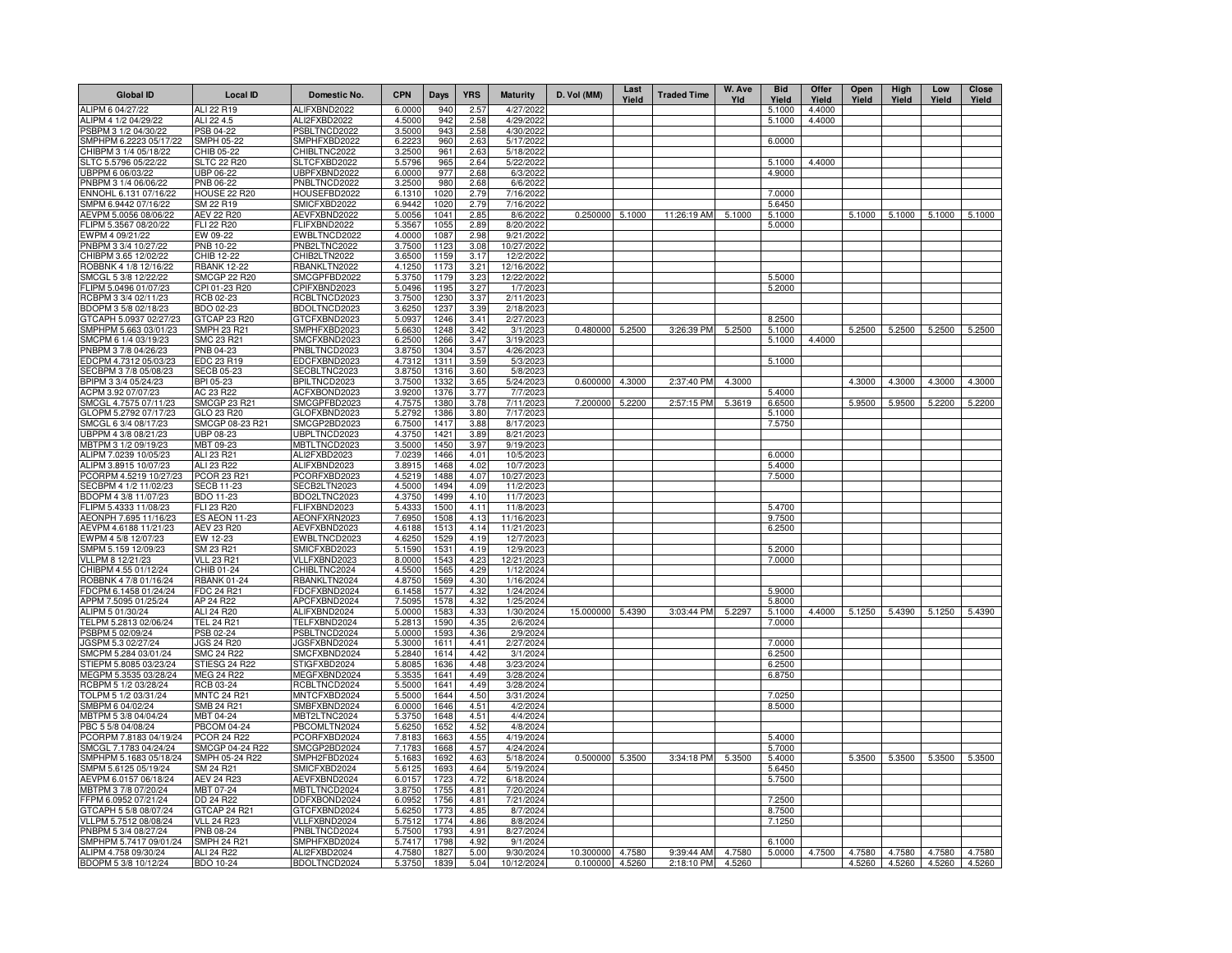| <b>Global ID</b>                                | <b>Local ID</b>                           | Domestic No.                 | <b>CPN</b>       | Days         | <b>YRS</b>   | <b>Maturity</b>          | D. Vol (MM)      | Last<br>Yield | <b>Traded Time</b> | W. Ave<br>Yld | <b>Bid</b><br>Yield | Offer<br>Yield | Open<br>Yield | High<br>Yield | Low<br>Yield | <b>Close</b><br>Yield |
|-------------------------------------------------|-------------------------------------------|------------------------------|------------------|--------------|--------------|--------------------------|------------------|---------------|--------------------|---------------|---------------------|----------------|---------------|---------------|--------------|-----------------------|
| ALIPM 6 04/27/22                                | ALI 22 R19                                | ALIFXBND2022                 | 6.0000           | 940          | 2.57         | 4/27/2022                |                  |               |                    |               | 5.1000              | 4.4000         |               |               |              |                       |
| ALIPM 4 1/2 04/29/22                            | ALI 22 4.5                                | ALI2FXBD2022                 | 4.5000           | 942          | 2.58         | 4/29/2022                |                  |               |                    |               | 5.1000              | 4.4000         |               |               |              |                       |
| PSBPM 3 1/2 04/30/22                            | PSB 04-22                                 | PSBLTNCD2022                 | 3.5000           | 943          | 2.58         | 4/30/2022                |                  |               |                    |               |                     |                |               |               |              |                       |
| SMPHPM 6.2223 05/17/22                          | <b>SMPH 05-22</b>                         | SMPHFXBD2022                 | 6.2223           | 960          | 2.63         | 5/17/2022                |                  |               |                    |               | 6.0000              |                |               |               |              |                       |
| CHIBPM 3 1/4 05/18/22                           | CHIB 05-22                                | CHIBLTNC2022                 | 3.2500           | 961          | 2.63         | 5/18/2022                |                  |               |                    |               |                     |                |               |               |              |                       |
| SLTC 5.5796 05/22/22<br>UBPPM 6 06/03/22        | <b>SLTC 22 R20</b><br>UBP 06-22           | SLTCFXBD2022<br>UBPFXBND2022 | 5.5796<br>6.0000 | 965<br>977   | 2.64<br>2.68 | 5/22/2022<br>6/3/2022    |                  |               |                    |               | 5.1000<br>4.9000    | 4.4000         |               |               |              |                       |
| PNBPM 3 1/4 06/06/22                            | PNB 06-22                                 | PNBLTNCD2022                 | 3.2500           | 980          | 2.68         | 6/6/2022                 |                  |               |                    |               |                     |                |               |               |              |                       |
| ENNOHL 6.131 07/16/22                           | HOUSE 22 R20                              | HOUSEFBD2022                 | 6.1310           | 1020         | 2.79         | 7/16/2022                |                  |               |                    |               | 7.0000              |                |               |               |              |                       |
| SMPM 6.9442 07/16/22                            | SM 22 R19                                 | SMICFXBD2022                 | 6.9442           | 1020         | 2.79         | 7/16/2022                |                  |               |                    |               | 5.6450              |                |               |               |              |                       |
| AEVPM 5.0056 08/06/22                           | AEV 22 R20                                | AEVFXBND2022                 | 5.0056           | 1041         | 2.85         | 8/6/2022                 | 0.250000         | 5.1000        | 11:26:19 AM        | 5.1000        | 5.1000              |                | 5.1000        | 5.1000        | 5.1000       | 5.1000                |
| FLIPM 5.3567 08/20/22                           | FLI 22 R20                                | FLIFXBND2022                 | 5.3567           | 1055         | 2.89         | 8/20/2022                |                  |               |                    |               | 5.0000              |                |               |               |              |                       |
| EWPM 4 09/21/22                                 | EW 09-22                                  | EWBLTNCD2022                 | 4.0000           | 1087         | 2.98         | 9/21/2022                |                  |               |                    |               |                     |                |               |               |              |                       |
| PNBPM 3 3/4 10/27/22                            | PNB 10-22                                 | PNB2LTNC2022                 | 3.7500           | 1123         | 3.08         | 10/27/2022               |                  |               |                    |               |                     |                |               |               |              |                       |
| CHIBPM 3.65 12/02/22                            | CHIB 12-22                                | CHIB2LTN2022                 | 3.6500           | 1159         | 3.17         | 12/2/2022                |                  |               |                    |               |                     |                |               |               |              |                       |
| ROBBNK 4 1/8 12/16/22                           | <b>RBANK 12-22</b>                        | RBANKLTN2022                 | 4.1250           | 1173         | 3.21         | 12/16/2022               |                  |               |                    |               |                     |                |               |               |              |                       |
| SMCGL 5 3/8 12/22/22                            | SMCGP 22 R20                              | SMCGPFBD2022                 | 5.3750           | 1179         | 3.23         | 12/22/2022               |                  |               |                    |               | 5.5000              |                |               |               |              |                       |
| LIPM 5.0496 01/07/23<br>RCBPM 3 3/4 02/11/23    | CPI 01-23 R20<br>RCB 02-23                | CPIFXBND2023<br>RCBLTNCD2023 | 5.0496<br>3.7500 | 1195<br>1230 | 3.27<br>3.37 | 1/7/2023<br>2/11/2023    |                  |               |                    |               | 5.2000              |                |               |               |              |                       |
| BDOPM 3 5/8 02/18/23                            | BDO 02-23                                 | BDOLTNCD2023                 | 3.6250           | 1237         | 3.39         | 2/18/2023                |                  |               |                    |               |                     |                |               |               |              |                       |
| GTCAPH 5.0937 02/27/23                          | GTCAP 23 R20                              | GTCFXBND2023                 | 5.0937           | 1246         | 3.41         | 2/27/2023                |                  |               |                    |               | 8.2500              |                |               |               |              |                       |
| SMPHPM 5.663 03/01/23                           | <b>SMPH 23 R21</b>                        | SMPHFXBD2023                 | 5.6630           | 1248         | 3.42         | 3/1/2023                 | 0.480000         | 5.2500        | 3:26:39 PM         | 5.2500        | 5.1000              |                |               | 5.2500 5.2500 | 5.2500       | 5.2500                |
| SMCPM 6 1/4 03/19/23                            | SMC 23 R21                                | SMCFXBND2023                 | 6.2500           | 1266         | 3.47         | 3/19/2023                |                  |               |                    |               | 5.1000              | 4.4000         |               |               |              |                       |
| PNBPM 3 7/8 04/26/23                            | PNB 04-23                                 | PNBLTNCD2023                 | 3.8750           | 1304         | 3.57         | 4/26/2023                |                  |               |                    |               |                     |                |               |               |              |                       |
| EDCPM 4.7312 05/03/23                           | EDC 23 R19                                | EDCFXBND2023                 | 4.7312           | 1311         | 3.59         | 5/3/2023                 |                  |               |                    |               | 5.1000              |                |               |               |              |                       |
| SECBPM 3 7/8 05/08/23                           | <b>SECB 05-23</b>                         | SECBLTNC2023                 | 3.8750           | 1316         | 3.60         | 5/8/2023                 |                  |               |                    |               |                     |                |               |               |              |                       |
| BPIPM 3 3/4 05/24/23                            | BPI 05-23                                 | BPILTNCD2023                 | 3.7500           | 1332         | 3.65         | 5/24/2023                | 0.600000         | 4.3000        | 2:37:40 PM         | 4.3000        |                     |                | 4.3000        | 4.3000        | 4.3000       | 4.3000                |
| ACPM 3.92 07/07/23                              | AC 23 R22                                 | ACFXBOND2023                 | 3.9200           | 1376         | 3.77         | 7/7/2023                 |                  |               |                    |               | 5.4000              |                |               |               |              |                       |
| SMCGL 4.7575 07/11/23<br>GLOPM 5.2792 07/17/23  | <b>SMCGP 23 R21</b><br>GLO 23 R20         | SMCGPFBD2023<br>GLOFXBND2023 | 4.7575<br>5.2792 | 1380<br>1386 | 3.78<br>3.8C | 7/11/2023<br>7/17/2023   | 7.200000         | 5.2200        | 2:57:15 PM         | 5.3619        | 6.6500<br>5.1000    |                | 5.9500        | 5.9500        | 5.2200       | 5.2200                |
| SMCGL 6 3/4 08/17/23                            | SMCGP 08-23 R21                           | SMCGP2BD2023                 | 6.7500           | 1417         | 3.88         | 8/17/2023                |                  |               |                    |               | 7.5750              |                |               |               |              |                       |
| UBPPM 4 3/8 08/21/23                            | UBP 08-23                                 | UBPLTNCD2023                 | 4.3750           | 1421         | 3.89         | 8/21/2023                |                  |               |                    |               |                     |                |               |               |              |                       |
| MBTPM 3 1/2 09/19/23                            | MBT 09-23                                 | MBTLTNCD2023                 | 3.5000           | 1450         | 3.97         | 9/19/2023                |                  |               |                    |               |                     |                |               |               |              |                       |
| ALIPM 7.0239 10/05/23                           | ALI 23 R21                                | ALI2FXBD2023                 | 7.0239           | 1466         | 4.01         | 10/5/2023                |                  |               |                    |               | 6.0000              |                |               |               |              |                       |
| ALIPM 3.8915 10/07/23                           | ALI 23 R22                                | ALIFXBND2023                 | 3.8915           | 1468         | 4.02         | 10/7/2023                |                  |               |                    |               | 5.4000              |                |               |               |              |                       |
| PCORPM 4.5219 10/27/23                          | PCOR 23 R21                               | PCORFXBD2023                 | 4.5219           | 1488         | 4.07         | 10/27/2023               |                  |               |                    |               | 7.5000              |                |               |               |              |                       |
| SECBPM 4 1/2 11/02/23                           | <b>SECB 11-23</b>                         | SECB2LTN2023                 | 4.5000           | 1494         | 4.09         | 11/2/2023                |                  |               |                    |               |                     |                |               |               |              |                       |
| BDOPM 4 3/8 11/07/23                            | BDO 11-23                                 | BDO2LTNC2023                 | 4.3750           | 1499         | 4.10         | 11/7/2023                |                  |               |                    |               |                     |                |               |               |              |                       |
| FLIPM 5.4333 11/08/23                           | FLI 23 R20                                | FLIFXBND2023<br>AEONFXRN2023 | 5.4333           | 1500         | 4.11<br>4.13 | 11/8/2023                |                  |               |                    |               | 5.4700              |                |               |               |              |                       |
| AEONPH 7.695 11/16/23<br>AEVPM 4.6188 11/21/23  | <b>ES AEON 11-23</b><br><b>AEV 23 R20</b> | AEVFXBND2023                 | 7.6950<br>4.6188 | 1508<br>1513 | 4.14         | 11/16/2023<br>11/21/2023 |                  |               |                    |               | 9.7500<br>6.2500    |                |               |               |              |                       |
| EWPM 4 5/8 12/07/23                             | EW 12-23                                  | EWBLTNCD2023                 | 4.625            | 1529         | 4.19         | 12/7/2023                |                  |               |                    |               |                     |                |               |               |              |                       |
| SMPM 5.159 12/09/23                             | SM 23 R21                                 | SMICFXBD2023                 | 5.1590           | 1531         | 4.19         | 12/9/2023                |                  |               |                    |               | 5.2000              |                |               |               |              |                       |
| VLLPM 8 12/21/23                                | <b>VLL 23 R21</b>                         | VLLFXBND2023                 | 8.0000           | 1543         | 4.23         | 12/21/2023               |                  |               |                    |               | 7.0000              |                |               |               |              |                       |
| CHIBPM 4.55 01/12/24                            | CHIB 01-24                                | CHIBLTNC2024                 | 4.5500           | 1565         | 4.29         | 1/12/2024                |                  |               |                    |               |                     |                |               |               |              |                       |
| ROBBNK 4 7/8 01/16/24                           | <b>RBANK 01-24</b>                        | RBANKLTN2024                 | 4.8750           | 1569         | 4.30         | 1/16/2024                |                  |               |                    |               |                     |                |               |               |              |                       |
| FDCPM 6.1458 01/24/24                           | FDC 24 R21                                | FDCFXBND2024                 | 6.1458           | 157          | 4.32         | 1/24/2024                |                  |               |                    |               | 5.9000              |                |               |               |              |                       |
| APPM 7.5095 01/25/24                            | AP 24 R22                                 | APCFXBND2024                 | 7.509            | 1578         | 4.32         | 1/25/2024                |                  |               |                    |               | 5.8000              |                |               |               |              |                       |
| ALIPM 5 01/30/24                                | ALI 24 R20                                | ALIFXBND2024                 | 5.0000           | 158          | 4.33         | 1/30/2024                | 15.000000        | 5.4390        | 3:03:44 PM         | 5.2297        | 5.1000              | 4.4000         | 5.1250        | 5.4390        | 5.1250       | 5.4390                |
| TELPM 5.2813 02/06/24<br>PSBPM 5 02/09/24       | <b>TEL 24 R21</b><br>PSB 02-24            | TELFXBND2024<br>PSBLTNCD2024 | 5.281<br>5.000   | 1590<br>159  | 4.35<br>4.36 | 2/6/2024<br>2/9/2024     |                  |               |                    |               | 7.0000              |                |               |               |              |                       |
| JGSPM 5.3 02/27/24                              | <b>JGS 24 R20</b>                         | JGSFXBND2024                 | 5.3000           | 1611         | 4.41         | 2/27/2024                |                  |               |                    |               | 7.0000              |                |               |               |              |                       |
| SMCPM 5.284 03/01/24                            | <b>SMC 24 R22</b>                         | SMCFXBND2024                 | 5.2840           | 1614         | 4.42         | 3/1/2024                 |                  |               |                    |               | 6.2500              |                |               |               |              |                       |
| STIEPM 5.8085 03/23/24                          | STIESG 24 R22                             | STIGFXBD2024                 | 5.808            | 1636         | 4.48         | 3/23/2024                |                  |               |                    |               | 6.2500              |                |               |               |              |                       |
| MEGPM 5.3535 03/28/24                           | <b>MEG 24 R22</b>                         | MEGFXBND2024                 | 5.353            | 1641         | 4.49         | 3/28/2024                |                  |               |                    |               | 6.8750              |                |               |               |              |                       |
| RCBPM 5 1/2 03/28/24                            | RCB 03-24                                 | RCBLTNCD2024                 | 5.500            | 1641         | 4.49         | 3/28/2024                |                  |               |                    |               |                     |                |               |               |              |                       |
| TOLPM 5 1/2 03/31/24                            | <b>MNTC 24 R21</b>                        | MNTCFXBD2024                 | 5.5000           | 1644         | 4.50         | 3/31/2024                |                  |               |                    |               | 7.0250              |                |               |               |              |                       |
| SMBPM 6 04/02/24                                | <b>SMB 24 R21</b>                         | SMBFXBND2024                 | 6.0000           | 1646         | 4.51         | 4/2/2024                 |                  |               |                    |               | 8.5000              |                |               |               |              |                       |
| MBTPM 5 3/8 04/04/24                            | MBT 04-24                                 | MBT2LTNC2024                 | 5.3750           | 1648         | 4.51         | 4/4/2024                 |                  |               |                    |               |                     |                |               |               |              |                       |
| PBC 5 5/8 04/08/24                              | <b>PBCOM 04-24</b>                        | PBCOMLTN2024                 | 5.6250           | 1652         | 4.52         | 4/8/2024                 |                  |               |                    |               |                     |                |               |               |              |                       |
| PCORPM 7.8183 04/19/24<br>SMCGL 7.1783 04/24/24 | <b>PCOR 24 R22</b><br>SMCGP 04-24 R22     | PCORFXBD2024<br>SMCGP2BD2024 | 7.8183           | 1663         | 4.55<br>4.57 | 4/19/2024<br>4/24/2024   |                  |               |                    |               | 5.4000              |                |               |               |              |                       |
| SMPHPM 5.1683 05/18/24                          | SMPH 05-24 R22                            | SMPH2FBD2024                 | 7.1783<br>5.168  | 1668<br>1692 | 4.63         | 5/18/2024                | 0.500000 5.3500  |               | 3:34:18 PM         | 5.3500        | 5.7000<br>5.4000    |                | 5.3500        | 5.3500        | 5.3500       | 5.3500                |
| SMPM 5.6125 05/19/24                            | SM 24 R21                                 | SMICFXBD2024                 | 5.6125           | 1693         | 4.64         | 5/19/2024                |                  |               |                    |               | 5.6450              |                |               |               |              |                       |
| AEVPM 6.0157 06/18/24                           | <b>AEV 24 R23</b>                         | AEVFXBND2024                 | 6.0157           | 1723         | 4.72         | 6/18/2024                |                  |               |                    |               | 5.7500              |                |               |               |              |                       |
| MBTPM 3 7/8 07/20/24                            | MBT 07-24                                 | MBTLTNCD2024                 | 3.8750           | 1755         | 4.81         | 7/20/2024                |                  |               |                    |               |                     |                |               |               |              |                       |
| FPM 6.0952 07/21/24                             | DD 24 R22                                 | DDFXBOND2024                 | 6.0952           | 1756         | 4.81         | 7/21/2024                |                  |               |                    |               | 7.2500              |                |               |               |              |                       |
| GTCAPH 5 5/8 08/07/24                           | GTCAP 24 R21                              | GTCFXBND2024                 | 5.6250           | 1773         | 4.85         | 8/7/2024                 |                  |               |                    |               | 8.7500              |                |               |               |              |                       |
| VLLPM 5.7512 08/08/24                           | <b>VLL 24 R23</b>                         | VLLFXBND2024                 | 5.7512           | 1774         | 4.86         | 8/8/2024                 |                  |               |                    |               | 7.1250              |                |               |               |              |                       |
| PNBPM 5 3/4 08/27/24                            | PNB 08-24                                 | PNBLTNCD2024                 | 5.7500           | 1793         | 4.91         | 8/27/2024                |                  |               |                    |               |                     |                |               |               |              |                       |
| SMPHPM 5.7417 09/01/24                          | <b>SMPH 24 R21</b>                        | SMPHFXBD2024                 | 5.7417           | 1798         | 4.92         | 9/1/2024                 |                  |               |                    |               | 6.1000              |                |               |               |              |                       |
| ALIPM 4.758 09/30/24                            | ALI 24 R22                                | ALI2FXBD2024                 | 4.7580           | 182          | 5.00         | 9/30/2024                | 10.300000 4.7580 |               | 9:39:44 AM         | 4.7580        | 5.0000              | 4.7500         | 4.7580        | 4.7580        | 4.7580       | 4.7580                |
| BDOPM 5 3/8 10/12/24                            | <b>BDO 10-24</b>                          | BDOLTNCD2024                 | 5.3750           | 1839         | 5.04         | 10/12/2024               | 0.100000 4.5260  |               | 2:18:10 PM         | 4.5260        |                     |                | 4.5260        | 4.5260        | 4.5260       | 4.5260                |